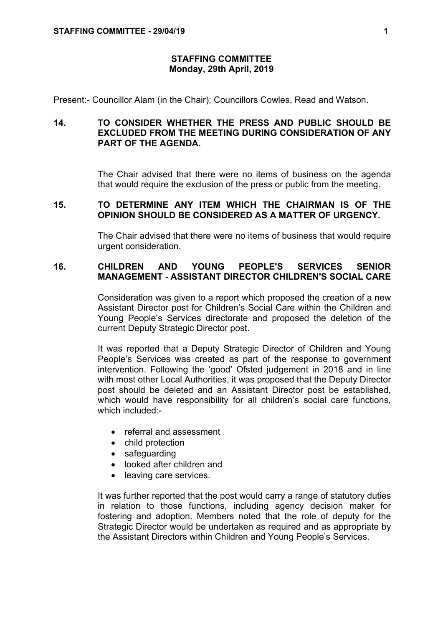### **STAFFING COMMITTEE Monday, 29th April, 2019**

Present:- Councillor Alam (in the Chair); Councillors Cowles, Read and Watson.

# **14. TO CONSIDER WHETHER THE PRESS AND PUBLIC SHOULD BE EXCLUDED FROM THE MEETING DURING CONSIDERATION OF ANY PART OF THE AGENDA.**

The Chair advised that there were no items of business on the agenda that would require the exclusion of the press or public from the meeting.

# **15. TO DETERMINE ANY ITEM WHICH THE CHAIRMAN IS OF THE OPINION SHOULD BE CONSIDERED AS A MATTER OF URGENCY.**

The Chair advised that there were no items of business that would require urgent consideration.

# **16. CHILDREN AND YOUNG PEOPLE'S SERVICES SENIOR MANAGEMENT - ASSISTANT DIRECTOR CHILDREN'S SOCIAL CARE**

Consideration was given to a report which proposed the creation of a new Assistant Director post for Children's Social Care within the Children and Young People's Services directorate and proposed the deletion of the current Deputy Strategic Director post.

It was reported that a Deputy Strategic Director of Children and Young People's Services was created as part of the response to government intervention. Following the 'good' Ofsted judgement in 2018 and in line with most other Local Authorities, it was proposed that the Deputy Director post should be deleted and an Assistant Director post be established, which would have responsibility for all children's social care functions, which included:-

- referral and assessment
- child protection
- safeguarding
- looked after children and
- leaving care services.

It was further reported that the post would carry a range of statutory duties in relation to those functions, including agency decision maker for fostering and adoption. Members noted that the role of deputy for the Strategic Director would be undertaken as required and as appropriate by the Assistant Directors within Children and Young People's Services.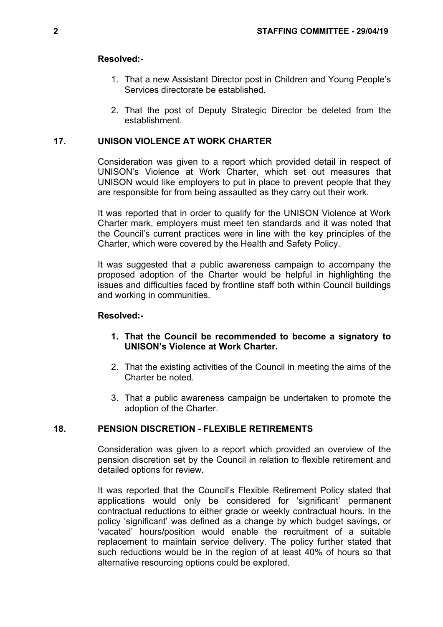# **Resolved:-**

- 1. That a new Assistant Director post in Children and Young People's Services directorate be established.
- 2. That the post of Deputy Strategic Director be deleted from the establishment.

#### **17. UNISON VIOLENCE AT WORK CHARTER**

Consideration was given to a report which provided detail in respect of UNISON's Violence at Work Charter, which set out measures that UNISON would like employers to put in place to prevent people that they are responsible for from being assaulted as they carry out their work.

It was reported that in order to qualify for the UNISON Violence at Work Charter mark, employers must meet ten standards and it was noted that the Council's current practices were in line with the key principles of the Charter, which were covered by the Health and Safety Policy.

It was suggested that a public awareness campaign to accompany the proposed adoption of the Charter would be helpful in highlighting the issues and difficulties faced by frontline staff both within Council buildings and working in communities.

#### **Resolved:-**

- **1. That the Council be recommended to become a signatory to UNISON's Violence at Work Charter.**
- 2. That the existing activities of the Council in meeting the aims of the Charter be noted.
- 3. That a public awareness campaign be undertaken to promote the adoption of the Charter.

### **18. PENSION DISCRETION - FLEXIBLE RETIREMENTS**

Consideration was given to a report which provided an overview of the pension discretion set by the Council in relation to flexible retirement and detailed options for review.

It was reported that the Council's Flexible Retirement Policy stated that applications would only be considered for 'significant' permanent contractual reductions to either grade or weekly contractual hours. In the policy 'significant' was defined as a change by which budget savings, or 'vacated' hours/position would enable the recruitment of a suitable replacement to maintain service delivery. The policy further stated that such reductions would be in the region of at least 40% of hours so that alternative resourcing options could be explored.